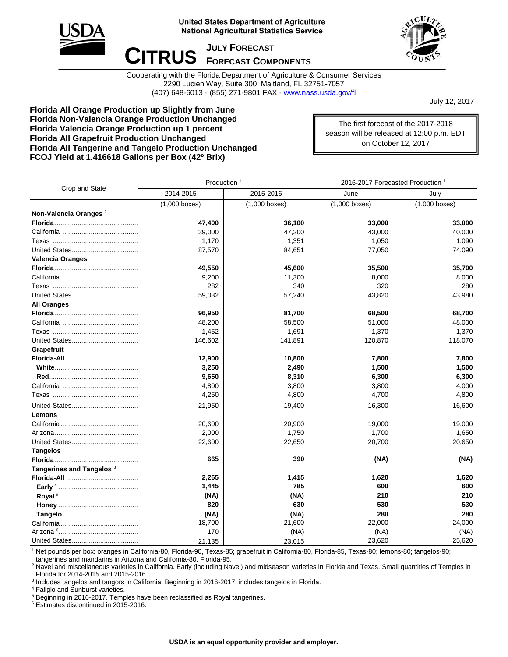

## **United States Department of Agriculture National Agricultural Statistics Service**

 $CITRUS$  *JULY FORECAST* 



Cooperating with the Florida Department of Agriculture & Consumer Services 2290 Lucien Way, Suite 300, Maitland, FL 32751-7057 (407) 648-6013 · (855) 271-9801 FAX · [www.nass.usda.gov/fl](http://www.nass.usda.gov/fl)

July 12, 2017

**Florida All Orange Production up Slightly from June Florida Non-Valencia Orange Production Unchanged Florida Valencia Orange Production up 1 percent Florida All Grapefruit Production Unchanged Florida All Tangerine and Tangelo Production Unchanged FCOJ Yield at 1.416618 Gallons per Box (42º Brix)**

The first forecast of the 2017-2018 season will be released at 12:00 p.m. EDT on October 12, 2017

| Crop and State                       | Production <sup>1</sup> |                 | 2016-2017 Forecasted Production <sup>1</sup> |                 |
|--------------------------------------|-------------------------|-----------------|----------------------------------------------|-----------------|
|                                      | 2014-2015               | 2015-2016       | June                                         | July            |
|                                      | $(1,000$ boxes)         | $(1,000$ boxes) | $(1,000$ boxes)                              | $(1,000$ boxes) |
| Non-Valencia Oranges <sup>2</sup>    |                         |                 |                                              |                 |
|                                      | 47,400                  | 36,100          | 33,000                                       | 33,000          |
|                                      | 39,000                  | 47,200          | 43,000                                       | 40,000          |
|                                      | 1,170                   | 1,351           | 1,050                                        | 1,090           |
|                                      | 87,570                  | 84,651          | 77,050                                       | 74,090          |
| <b>Valencia Oranges</b>              |                         |                 |                                              |                 |
|                                      | 49,550                  | 45,600          | 35,500                                       | 35,700          |
|                                      | 9,200                   | 11,300          | 8,000                                        | 8,000           |
|                                      | 282                     | 340             | 320                                          | 280             |
|                                      | 59,032                  | 57,240          | 43,820                                       | 43,980          |
| <b>All Oranges</b>                   |                         |                 |                                              |                 |
|                                      | 96,950                  | 81,700          | 68,500                                       | 68,700          |
|                                      | 48,200                  | 58,500          | 51,000                                       | 48,000          |
|                                      | 1,452                   | 1,691           | 1,370                                        | 1,370           |
|                                      | 146,602                 | 141,891         | 120,870                                      | 118,070         |
| Grapefruit                           |                         |                 |                                              |                 |
|                                      | 12,900                  | 10,800          | 7,800                                        | 7,800           |
|                                      | 3,250                   | 2,490           | 1,500                                        | 1,500           |
|                                      | 9,650                   | 8,310           | 6,300                                        | 6,300           |
|                                      | 4,800                   | 3,800           | 3,800                                        | 4,000           |
|                                      | 4,250                   | 4,800           | 4,700                                        | 4,800           |
|                                      | 21,950                  | 19,400          | 16,300                                       | 16,600          |
| Lemons                               |                         |                 |                                              |                 |
|                                      | 20,600                  | 20,900          | 19,000                                       | 19,000          |
|                                      | 2,000                   | 1,750           | 1,700                                        | 1,650           |
|                                      | 22,600                  | 22,650          | 20,700                                       | 20,650          |
| <b>Tangelos</b>                      |                         |                 |                                              |                 |
|                                      | 665                     | 390             | (NA)                                         | (NA)            |
| Tangerines and Tangelos <sup>3</sup> |                         |                 |                                              |                 |
|                                      | 2,265                   | 1,415           | 1,620                                        | 1,620           |
|                                      | 1,445                   | 785             | 600                                          | 600             |
|                                      | (NA)                    | (NA)            | 210                                          | 210             |
|                                      | 820                     | 630             | 530                                          | 530             |
|                                      | (NA)                    | (NA)            | 280                                          | 280             |
|                                      | 18,700                  | 21,600          | 22,000                                       | 24,000          |
|                                      | 170                     | (NA)            | (NA)                                         | (NA)            |
|                                      | 21,135                  | 23,015          | 23,620                                       | 25,620          |

<sup>1</sup> Net pounds per box: oranges in California-80, Florida-90, Texas-85; grapefruit in California-80, Florida-85, Texas-80; lemons-80; tangelos-90; tangerines and mandarins in Arizona and California-80, Florida-95.

<sup>2</sup> Navel and miscellaneous varieties in California. Early (including Navel) and midseason varieties in Florida and Texas. Small quantities of Temples in Florida for 2014-2015 and 2015-2016.

3 Includes tangelos and tangors in California. Beginning in 2016-2017, includes tangelos in Florida.

<sup>4</sup> Fallglo and Sunburst varieties.

<sup>5</sup> Beginning in 2016-2017, Temples have been reclassified as Royal tangerines.

<sup>6</sup> Estimates discontinued in 2015-2016.